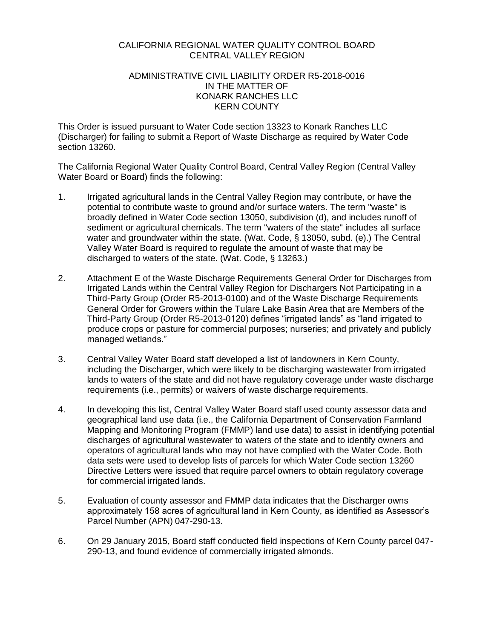#### CALIFORNIA REGIONAL WATER QUALITY CONTROL BOARD CENTRAL VALLEY REGION

#### ADMINISTRATIVE CIVIL LIABILITY ORDER R5-2018-0016 IN THE MATTER OF KONARK RANCHES LLC KERN COUNTY

This Order is issued pursuant to Water Code section 13323 to Konark Ranches LLC (Discharger) for failing to submit a Report of Waste Discharge as required by Water Code section 13260.

The California Regional Water Quality Control Board, Central Valley Region (Central Valley Water Board or Board) finds the following:

- 1. Irrigated agricultural lands in the Central Valley Region may contribute, or have the potential to contribute waste to ground and/or surface waters. The term "waste" is broadly defined in Water Code section 13050, subdivision (d), and includes runoff of sediment or agricultural chemicals. The term "waters of the state" includes all surface water and groundwater within the state. (Wat. Code, § 13050, subd. (e).) The Central Valley Water Board is required to regulate the amount of waste that may be discharged to waters of the state. (Wat. Code, § 13263.)
- 2. Attachment E of the Waste Discharge Requirements General Order for Discharges from Irrigated Lands within the Central Valley Region for Dischargers Not Participating in a Third-Party Group (Order R5-2013-0100) and of the Waste Discharge Requirements General Order for Growers within the Tulare Lake Basin Area that are Members of the Third-Party Group (Order R5-2013-0120) defines "irrigated lands" as "land irrigated to produce crops or pasture for commercial purposes; nurseries; and privately and publicly managed wetlands."
- 3. Central Valley Water Board staff developed a list of landowners in Kern County, including the Discharger, which were likely to be discharging wastewater from irrigated lands to waters of the state and did not have regulatory coverage under waste discharge requirements (i.e., permits) or waivers of waste discharge requirements.
- 4. In developing this list, Central Valley Water Board staff used county assessor data and geographical land use data (i.e., the California Department of Conservation Farmland Mapping and Monitoring Program (FMMP) land use data) to assist in identifying potential discharges of agricultural wastewater to waters of the state and to identify owners and operators of agricultural lands who may not have complied with the Water Code. Both data sets were used to develop lists of parcels for which Water Code section 13260 Directive Letters were issued that require parcel owners to obtain regulatory coverage for commercial irrigated lands.
- 5. Evaluation of county assessor and FMMP data indicates that the Discharger owns approximately 158 acres of agricultural land in Kern County, as identified as Assessor's Parcel Number (APN) 047-290-13.
- 6. On 29 January 2015, Board staff conducted field inspections of Kern County parcel 047- 290-13, and found evidence of commercially irrigated almonds.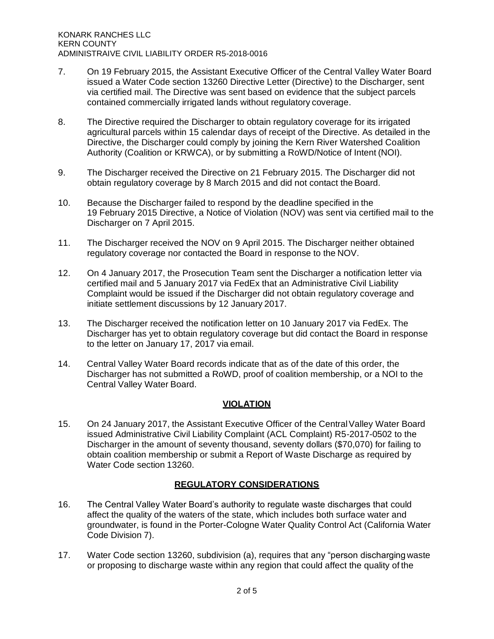- 7. On 19 February 2015, the Assistant Executive Officer of the Central Valley Water Board issued a Water Code section 13260 Directive Letter (Directive) to the Discharger, sent via certified mail. The Directive was sent based on evidence that the subject parcels contained commercially irrigated lands without regulatory coverage.
- 8. The Directive required the Discharger to obtain regulatory coverage for its irrigated agricultural parcels within 15 calendar days of receipt of the Directive. As detailed in the Directive, the Discharger could comply by joining the Kern River Watershed Coalition Authority (Coalition or KRWCA), or by submitting a RoWD/Notice of Intent (NOI).
- 9. The Discharger received the Directive on 21 February 2015. The Discharger did not obtain regulatory coverage by 8 March 2015 and did not contact the Board.
- 10. Because the Discharger failed to respond by the deadline specified in the 19 February 2015 Directive, a Notice of Violation (NOV) was sent via certified mail to the Discharger on 7 April 2015.
- 11. The Discharger received the NOV on 9 April 2015. The Discharger neither obtained regulatory coverage nor contacted the Board in response to the NOV.
- 12. On 4 January 2017, the Prosecution Team sent the Discharger a notification letter via certified mail and 5 January 2017 via FedEx that an Administrative Civil Liability Complaint would be issued if the Discharger did not obtain regulatory coverage and initiate settlement discussions by 12 January 2017.
- 13. The Discharger received the notification letter on 10 January 2017 via FedEx. The Discharger has yet to obtain regulatory coverage but did contact the Board in response to the letter on January 17, 2017 via email.
- 14. Central Valley Water Board records indicate that as of the date of this order, the Discharger has not submitted a RoWD, proof of coalition membership, or a NOI to the Central Valley Water Board.

# **VIOLATION**

15. On 24 January 2017, the Assistant Executive Officer of the CentralValley Water Board issued Administrative Civil Liability Complaint (ACL Complaint) R5-2017-0502 to the Discharger in the amount of seventy thousand, seventy dollars (\$70,070) for failing to obtain coalition membership or submit a Report of Waste Discharge as required by Water Code section 13260.

# **REGULATORY CONSIDERATIONS**

- 16. The Central Valley Water Board's authority to regulate waste discharges that could affect the quality of the waters of the state, which includes both surface water and groundwater, is found in the Porter-Cologne Water Quality Control Act (California Water Code Division 7).
- 17. Water Code section 13260, subdivision (a), requires that any "person discharging waste or proposing to discharge waste within any region that could affect the quality of the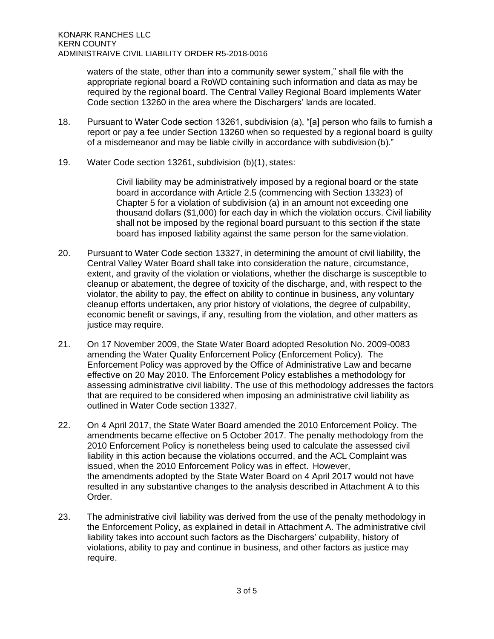waters of the state, other than into a community sewer system," shall file with the appropriate regional board a RoWD containing such information and data as may be required by the regional board. The Central Valley Regional Board implements Water Code section 13260 in the area where the Dischargers' lands are located.

- 18. Pursuant to Water Code section 13261, subdivision (a), "[a] person who fails to furnish a report or pay a fee under Section 13260 when so requested by a regional board is guilty of a misdemeanor and may be liable civilly in accordance with subdivision (b)."
- 19. Water Code section 13261, subdivision (b)(1), states:

Civil liability may be administratively imposed by a regional board or the state board in accordance with Article 2.5 (commencing with Section 13323) of Chapter 5 for a violation of subdivision (a) in an amount not exceeding one thousand dollars (\$1,000) for each day in which the violation occurs. Civil liability shall not be imposed by the regional board pursuant to this section if the state board has imposed liability against the same person for the sameviolation.

- 20. Pursuant to Water Code section 13327, in determining the amount of civil liability, the Central Valley Water Board shall take into consideration the nature, circumstance, extent, and gravity of the violation or violations, whether the discharge is susceptible to cleanup or abatement, the degree of toxicity of the discharge, and, with respect to the violator, the ability to pay, the effect on ability to continue in business, any voluntary cleanup efforts undertaken, any prior history of violations, the degree of culpability, economic benefit or savings, if any, resulting from the violation, and other matters as justice may require.
- 21. On 17 November 2009, the State Water Board adopted Resolution No. 2009-0083 amending the Water Quality Enforcement Policy (Enforcement Policy). The Enforcement Policy was approved by the Office of Administrative Law and became effective on 20 May 2010. The Enforcement Policy establishes a methodology for assessing administrative civil liability. The use of this methodology addresses the factors that are required to be considered when imposing an administrative civil liability as outlined in Water Code section 13327.
- 22. On 4 April 2017, the State Water Board amended the 2010 Enforcement Policy. The amendments became effective on 5 October 2017. The penalty methodology from the 2010 Enforcement Policy is nonetheless being used to calculate the assessed civil liability in this action because the violations occurred, and the ACL Complaint was issued, when the 2010 Enforcement Policy was in effect. However, the amendments adopted by the State Water Board on 4 April 2017 would not have resulted in any substantive changes to the analysis described in Attachment A to this Order.
- 23. The administrative civil liability was derived from the use of the penalty methodology in the Enforcement Policy, as explained in detail in Attachment A. The administrative civil liability takes into account such factors as the Dischargers' culpability, history of violations, ability to pay and continue in business, and other factors as justice may require.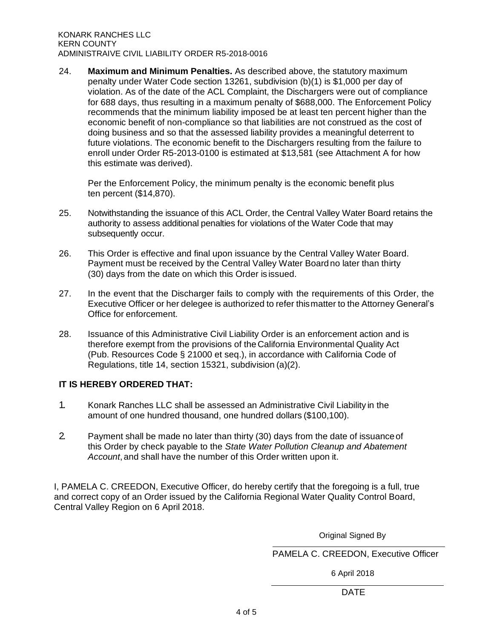24. **Maximum and Minimum Penalties.** As described above, the statutory maximum penalty under Water Code section 13261, subdivision (b)(1) is \$1,000 per day of violation. As of the date of the ACL Complaint, the Dischargers were out of compliance for 688 days, thus resulting in a maximum penalty of \$688,000. The Enforcement Policy recommends that the minimum liability imposed be at least ten percent higher than the economic benefit of non-compliance so that liabilities are not construed as the cost of doing business and so that the assessed liability provides a meaningful deterrent to future violations. The economic benefit to the Dischargers resulting from the failure to enroll under Order R5-2013-0100 is estimated at \$13,581 (see Attachment A for how this estimate was derived).

Per the Enforcement Policy, the minimum penalty is the economic benefit plus ten percent (\$14,870).

- 25. Notwithstanding the issuance of this ACL Order, the Central Valley Water Board retains the authority to assess additional penalties for violations of the Water Code that may subsequently occur.
- 26. This Order is effective and final upon issuance by the Central Valley Water Board. Payment must be received by the Central Valley Water Board no later than thirty (30) days from the date on which this Order is issued.
- 27. In the event that the Discharger fails to comply with the requirements of this Order, the Executive Officer or her delegee is authorized to refer thismatter to the Attorney General's Office for enforcement.
- 28. Issuance of this Administrative Civil Liability Order is an enforcement action and is therefore exempt from the provisions of the California Environmental Quality Act (Pub. Resources Code § 21000 et seq.), in accordance with California Code of Regulations, title 14, section 15321, subdivision (a)(2).

# **IT IS HEREBY ORDERED THAT:**

- 1. Konark Ranches LLC shall be assessed an Administrative Civil Liability in the amount of one hundred thousand, one hundred dollars (\$100,100).
- 2. Payment shall be made no later than thirty (30) days from the date of issuanceof this Order by check payable to the *State Water Pollution Cleanup and Abatement Account*, and shall have the number of this Order written upon it.

I, PAMELA C. CREEDON, Executive Officer, do hereby certify that the foregoing is a full, true and correct copy of an Order issued by the California Regional Water Quality Control Board, Central Valley Region on 6 April 2018.

Original Signed By

PAMELA C. CREEDON, Executive Officer

6 April 2018

de de la contrata de la contrata de la contrata de la contrata de la contrata de la contrata de la contrata de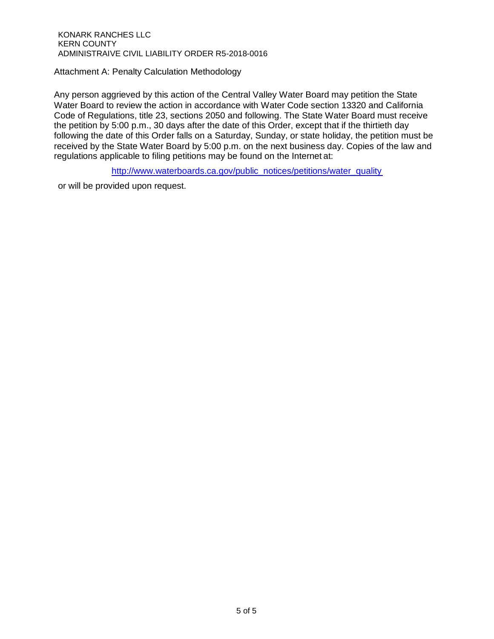Attachment A: Penalty Calculation Methodology

Any person aggrieved by this action of the Central Valley Water Board may petition the State Water Board to review the action in accordance with Water Code section 13320 and California Code of Regulations, title 23, sections 2050 and following. The State Water Board must receive the petition by 5:00 p.m., 30 days after the date of this Order, except that if the thirtieth day following the date of this Order falls on a Saturday, Sunday, or state holiday, the petition must be received by the State Water Board by 5:00 p.m. on the next business day. Copies of the law and regulations applicable to filing petitions may be found on the Internet at:

[http://www.waterboards.ca.gov/public\\_notices/petitions/water\\_quality](http://www.waterboards.ca.gov/public_notices/petitions/water_quality)

or will be provided upon request.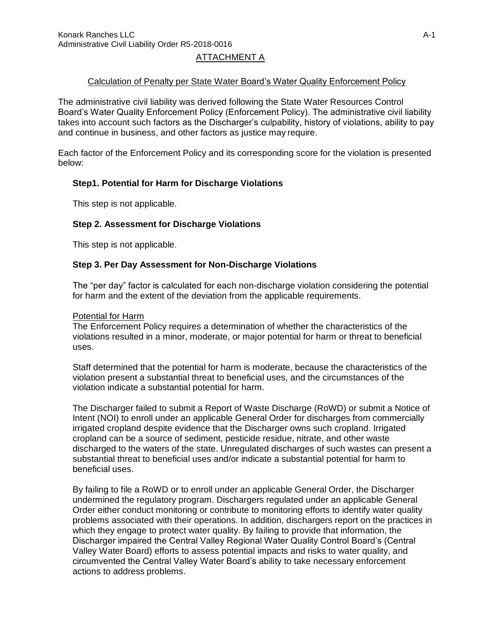# ATTACHMENT A

# Calculation of Penalty per State Water Board's Water Quality Enforcement Policy

The administrative civil liability was derived following the State Water Resources Control Board's Water Quality Enforcement Policy (Enforcement Policy). The administrative civil liability takes into account such factors as the Discharger's culpability, history of violations, ability to pay and continue in business, and other factors as justice may require.

Each factor of the Enforcement Policy and its corresponding score for the violation is presented below:

# **Step1. Potential for Harm for Discharge Violations**

This step is not applicable.

# **Step 2. Assessment for Discharge Violations**

This step is not applicable.

#### **Step 3. Per Day Assessment for Non-Discharge Violations**

The "per day" factor is calculated for each non-discharge violation considering the potential for harm and the extent of the deviation from the applicable requirements.

#### Potential for Harm

The Enforcement Policy requires a determination of whether the characteristics of the violations resulted in a minor, moderate, or major potential for harm or threat to beneficial uses.

Staff determined that the potential for harm is moderate, because the characteristics of the violation present a substantial threat to beneficial uses, and the circumstances of the violation indicate a substantial potential for harm.

The Discharger failed to submit a Report of Waste Discharge (RoWD) or submit a Notice of Intent (NOI) to enroll under an applicable General Order for discharges from commercially irrigated cropland despite evidence that the Discharger owns such cropland. Irrigated cropland can be a source of sediment, pesticide residue, nitrate, and other waste discharged to the waters of the state. Unregulated discharges of such wastes can present a substantial threat to beneficial uses and/or indicate a substantial potential for harm to beneficial uses.

By failing to file a RoWD or to enroll under an applicable General Order, the Discharger undermined the regulatory program. Dischargers regulated under an applicable General Order either conduct monitoring or contribute to monitoring efforts to identify water quality problems associated with their operations. In addition, dischargers report on the practices in which they engage to protect water quality. By failing to provide that information, the Discharger impaired the Central Valley Regional Water Quality Control Board's (Central Valley Water Board) efforts to assess potential impacts and risks to water quality, and circumvented the Central Valley Water Board's ability to take necessary enforcement actions to address problems.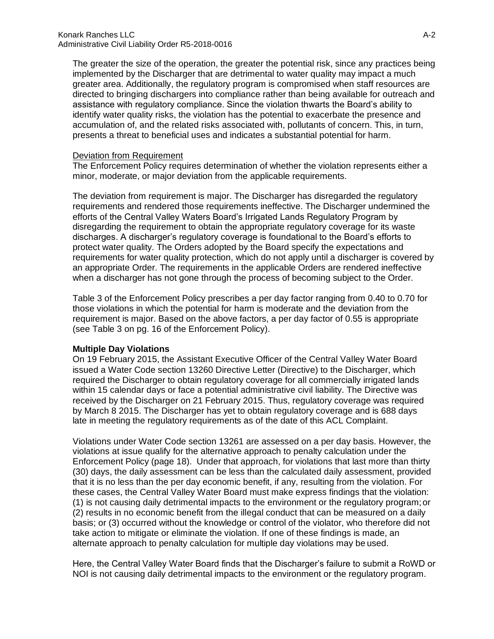The greater the size of the operation, the greater the potential risk, since any practices being implemented by the Discharger that are detrimental to water quality may impact a much greater area. Additionally, the regulatory program is compromised when staff resources are directed to bringing dischargers into compliance rather than being available for outreach and assistance with regulatory compliance. Since the violation thwarts the Board's ability to identify water quality risks, the violation has the potential to exacerbate the presence and accumulation of, and the related risks associated with, pollutants of concern. This, in turn, presents a threat to beneficial uses and indicates a substantial potential for harm.

#### Deviation from Requirement

The Enforcement Policy requires determination of whether the violation represents either a minor, moderate, or major deviation from the applicable requirements.

The deviation from requirement is major. The Discharger has disregarded the regulatory requirements and rendered those requirements ineffective. The Discharger undermined the efforts of the Central Valley Waters Board's Irrigated Lands Regulatory Program by disregarding the requirement to obtain the appropriate regulatory coverage for its waste discharges. A discharger's regulatory coverage is foundational to the Board's efforts to protect water quality. The Orders adopted by the Board specify the expectations and requirements for water quality protection, which do not apply until a discharger is covered by an appropriate Order. The requirements in the applicable Orders are rendered ineffective when a discharger has not gone through the process of becoming subject to the Order.

Table 3 of the Enforcement Policy prescribes a per day factor ranging from 0.40 to 0.70 for those violations in which the potential for harm is moderate and the deviation from the requirement is major. Based on the above factors, a per day factor of 0.55 is appropriate (see Table 3 on pg. 16 of the Enforcement Policy).

#### **Multiple Day Violations**

On 19 February 2015, the Assistant Executive Officer of the Central Valley Water Board issued a Water Code section 13260 Directive Letter (Directive) to the Discharger, which required the Discharger to obtain regulatory coverage for all commercially irrigated lands within 15 calendar days or face a potential administrative civil liability. The Directive was received by the Discharger on 21 February 2015. Thus, regulatory coverage was required by March 8 2015. The Discharger has yet to obtain regulatory coverage and is 688 days late in meeting the regulatory requirements as of the date of this ACL Complaint.

Violations under Water Code section 13261 are assessed on a per day basis. However, the violations at issue qualify for the alternative approach to penalty calculation under the Enforcement Policy (page 18). Under that approach, for violations that last more than thirty (30) days, the daily assessment can be less than the calculated daily assessment, provided that it is no less than the per day economic benefit, if any, resulting from the violation. For these cases, the Central Valley Water Board must make express findings that the violation: (1) is not causing daily detrimental impacts to the environment or the regulatory program;or (2) results in no economic benefit from the illegal conduct that can be measured on a daily basis; or (3) occurred without the knowledge or control of the violator, who therefore did not take action to mitigate or eliminate the violation. If one of these findings is made, an alternate approach to penalty calculation for multiple day violations may be used.

Here, the Central Valley Water Board finds that the Discharger's failure to submit a RoWD or NOI is not causing daily detrimental impacts to the environment or the regulatory program.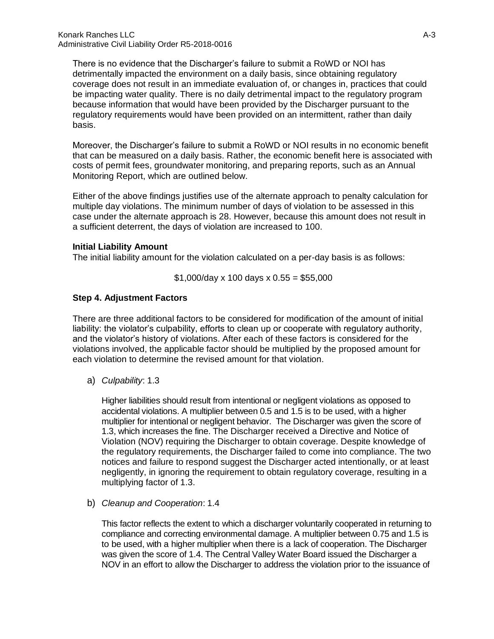There is no evidence that the Discharger's failure to submit a RoWD or NOI has detrimentally impacted the environment on a daily basis, since obtaining regulatory coverage does not result in an immediate evaluation of, or changes in, practices that could be impacting water quality. There is no daily detrimental impact to the regulatory program because information that would have been provided by the Discharger pursuant to the regulatory requirements would have been provided on an intermittent, rather than daily basis.

Moreover, the Discharger's failure to submit a RoWD or NOI results in no economic benefit that can be measured on a daily basis. Rather, the economic benefit here is associated with costs of permit fees, groundwater monitoring, and preparing reports, such as an Annual Monitoring Report, which are outlined below.

Either of the above findings justifies use of the alternate approach to penalty calculation for multiple day violations. The minimum number of days of violation to be assessed in this case under the alternate approach is 28. However, because this amount does not result in a sufficient deterrent, the days of violation are increased to 100.

#### **Initial Liability Amount**

The initial liability amount for the violation calculated on a per-day basis is as follows:

 $$1,000$ /day x 100 days x 0.55 = \$55,000

# **Step 4. Adjustment Factors**

There are three additional factors to be considered for modification of the amount of initial liability: the violator's culpability, efforts to clean up or cooperate with regulatory authority, and the violator's history of violations. After each of these factors is considered for the violations involved, the applicable factor should be multiplied by the proposed amount for each violation to determine the revised amount for that violation.

a) *Culpability*: 1.3

Higher liabilities should result from intentional or negligent violations as opposed to accidental violations. A multiplier between 0.5 and 1.5 is to be used, with a higher multiplier for intentional or negligent behavior. The Discharger was given the score of 1.3, which increases the fine. The Discharger received a Directive and Notice of Violation (NOV) requiring the Discharger to obtain coverage. Despite knowledge of the regulatory requirements, the Discharger failed to come into compliance. The two notices and failure to respond suggest the Discharger acted intentionally, or at least negligently, in ignoring the requirement to obtain regulatory coverage, resulting in a multiplying factor of 1.3.

# b) *Cleanup and Cooperation*: 1.4

This factor reflects the extent to which a discharger voluntarily cooperated in returning to compliance and correcting environmental damage. A multiplier between 0.75 and 1.5 is to be used, with a higher multiplier when there is a lack of cooperation. The Discharger was given the score of 1.4. The Central Valley Water Board issued the Discharger a NOV in an effort to allow the Discharger to address the violation prior to the issuance of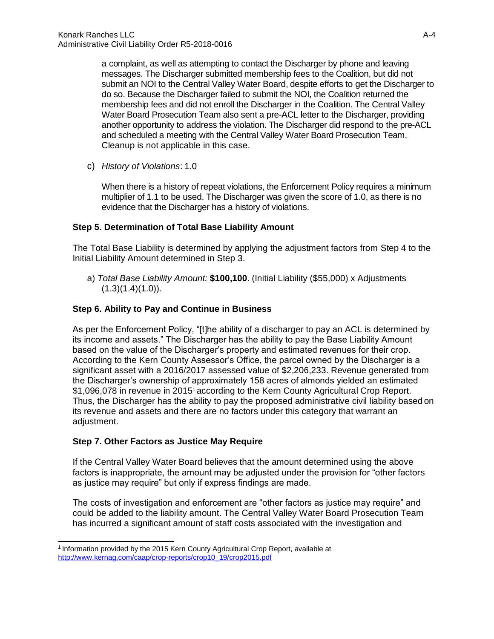a complaint, as well as attempting to contact the Discharger by phone and leaving messages. The Discharger submitted membership fees to the Coalition, but did not submit an NOI to the Central Valley Water Board, despite efforts to get the Discharger to do so. Because the Discharger failed to submit the NOI, the Coalition returned the membership fees and did not enroll the Discharger in the Coalition. The Central Valley Water Board Prosecution Team also sent a pre-ACL letter to the Discharger, providing another opportunity to address the violation. The Discharger did respond to the pre-ACL and scheduled a meeting with the Central Valley Water Board Prosecution Team. Cleanup is not applicable in this case.

c) *History of Violations*: 1.0

When there is a history of repeat violations, the Enforcement Policy requires a minimum multiplier of 1.1 to be used. The Discharger was given the score of 1.0, as there is no evidence that the Discharger has a history of violations.

# **Step 5. Determination of Total Base Liability Amount**

The Total Base Liability is determined by applying the adjustment factors from Step 4 to the Initial Liability Amount determined in Step 3.

a) *Total Base Liability Amount:* **\$100,100**. (Initial Liability (\$55,000) x Adjustments  $(1.3)(1.4)(1.0)$ .

# **Step 6. Ability to Pay and Continue in Business**

As per the Enforcement Policy, "[t]he ability of a discharger to pay an ACL is determined by its income and assets." The Discharger has the ability to pay the Base Liability Amount based on the value of the Discharger's property and estimated revenues for their crop. According to the Kern County Assessor's Office, the parcel owned by the Discharger is a significant asset with a 2016/2017 assessed value of \$2,206,233. Revenue generated from the Discharger's ownership of approximately 158 acres of almonds yielded an estimated \$1,096,078 in revenue in 201[5](#page-8-0)<sup>1</sup> according to the Kern County Agricultural Crop Report. Thus, the Discharger has the ability to pay the proposed administrative civil liability based on its revenue and assets and there are no factors under this category that warrant an adjustment.

# **Step 7. Other Factors as Justice May Require**

If the Central Valley Water Board believes that the amount determined using the above factors is inappropriate, the amount may be adjusted under the provision for "other factors as justice may require" but only if express findings are made.

The costs of investigation and enforcement are "other factors as justice may require" and could be added to the liability amount. The Central Valley Water Board Prosecution Team has incurred a significant amount of staff costs associated with the investigation and

<span id="page-8-0"></span><sup>&</sup>lt;sup>1</sup> Information provided by the 2015 Kern County Agricultural Crop Report, available at [http://www.kernag.com/caap/crop-reports/crop10\\_19/crop2015.pdf](http://www.kernag.com/caap/crop-reports/crop10_19/crop2015.pdf)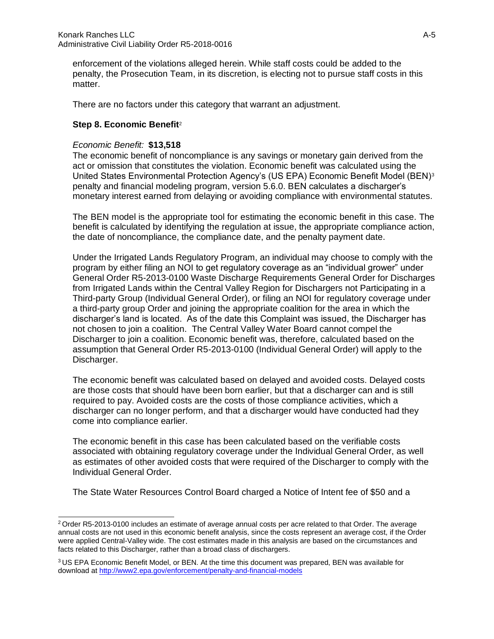enforcement of the violations alleged herein. While staff costs could be added to the penalty, the Prosecution Team, in its discretion, is electing not to pursue staff costs in this matter.

There are no factors under this category that warrant an adjustment.

# **Step 8. Economic Benefi[t](#page-9-0)**<sup>2</sup>

# *Economic Benefit:* **\$13,518**

The economic benefit of noncompliance is any savings or monetary gain derived from the act or omission that constitutes the violation. Economic benefit was calculated using the United States Environmental Protection Agency's (US EPA) Economic Benefit Model (BEN)[3](#page-9-1) penalty and financial modeling program, version 5.6.0. BEN calculates a discharger's monetary interest earned from delaying or avoiding compliance with environmental statutes.

The BEN model is the appropriate tool for estimating the economic benefit in this case. The benefit is calculated by identifying the regulation at issue, the appropriate compliance action, the date of noncompliance, the compliance date, and the penalty payment date.

Under the Irrigated Lands Regulatory Program, an individual may choose to comply with the program by either filing an NOI to get regulatory coverage as an "individual grower" under General Order R5-2013-0100 Waste Discharge Requirements General Order for Discharges from Irrigated Lands within the Central Valley Region for Dischargers not Participating in a Third-party Group (Individual General Order), or filing an NOI for regulatory coverage under a third-party group Order and joining the appropriate coalition for the area in which the discharger's land is located. As of the date this Complaint was issued, the Discharger has not chosen to join a coalition. The Central Valley Water Board cannot compel the Discharger to join a coalition. Economic benefit was, therefore, calculated based on the assumption that General Order R5-2013-0100 (Individual General Order) will apply to the Discharger.

The economic benefit was calculated based on delayed and avoided costs. Delayed costs are those costs that should have been born earlier, but that a discharger can and is still required to pay. Avoided costs are the costs of those compliance activities, which a discharger can no longer perform, and that a discharger would have conducted had they come into compliance earlier.

The economic benefit in this case has been calculated based on the verifiable costs associated with obtaining regulatory coverage under the Individual General Order, as well as estimates of other avoided costs that were required of the Discharger to comply with the Individual General Order.

The State Water Resources Control Board charged a Notice of Intent fee of \$50 and a

<span id="page-9-0"></span><sup>2</sup>Order R5-2013-0100 includes an estimate of average annual costs per acre related to that Order. The average annual costs are not used in this economic benefit analysis, since the costs represent an average cost, if the Order were applied Central-Valley wide. The cost estimates made in this analysis are based on the circumstances and facts related to this Discharger, rather than a broad class of dischargers.

<span id="page-9-1"></span><sup>3</sup>US EPA Economic Benefit Model, or BEN. At the time this document was prepared, BEN was available for download at<http://www2.epa.gov/enforcement/penalty-and-financial-models>